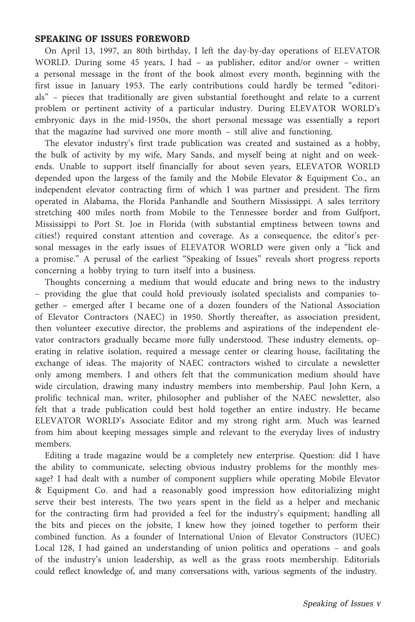## **SPEAKING OF ISSUES FOREWORD**

On April 13, 1997, an 80th birthday, I left the day-by-day operations of ELEVATOR WORLD. During some 45 years, I had – as publisher, editor and/or owner – written a personal message in the front of the book almost every month, beginning with the first issue in January 1953. The early contributions could hardly be termed "editorials" – pieces that traditionally are given substantial forethought and relate to a current problem or pertinent activity of a particular industry. During ELEVATOR WORLD's embryonic days in the mid-1950s, the short personal message was essentially a report that the magazine had survived one more month – still alive and functioning.

The elevator industry's first trade publication was created and sustained as a hobby, the bulk of activity by my wife, Mary Sands, and myself being at night and on weekends. Unable to support itself financially for about seven years, ELEVATOR WORLD depended upon the largess of the family and the Mobile Elevator & Equipment Co., an independent elevator contracting firm of which I was partner and president. The firm operated in Alabama, the Florida Panhandle and Southern Mississippi. A sales territory stretching 400 miles north from Mobile to the Tennessee border and from Gulfport, Mississippi to Port St. Joe in Florida (with substantial emptiness between towns and cities!) required constant attention and coverage. As a consequence, the editor's personal messages in the early issues of ELEVATOR WORLD were given only a "lick and a promise." A perusal of the earliest "Speaking of Issues" reveals short progress reports concerning a hobby trying to turn itself into a business.

Thoughts concerning a medium that would educate and bring news to the industry – providing the glue that could hold previously isolated specialists and companies together – emerged after I became one of a dozen founders of the National Association of Elevator Contractors (NAEC) in 1950. Shortly thereafter, as association president, then volunteer executive director, the problems and aspirations of the independent elevator contractors gradually became more fully understood. These industry elements, operating in relative isolation, required a message center or clearing house, facilitating the exchange of ideas. The majority of NAEC contractors wished to circulate a newsletter only among members. I and others felt that the communication medium should have wide circulation, drawing many industry members into membership. Paul John Kern, a prolific technical man, writer, philosopher and publisher of the NAEC newsletter, also felt that a trade publication could best hold together an entire industry. He became ELEVATOR WORLD's Associate Editor and my strong right arm. Much was learned from him about keeping messages simple and relevant to the everyday lives of industry members.

Editing a trade magazine would be a completely new enterprise. Question: did I have the ability to communicate, selecting obvious industry problems for the monthly message? I had dealt with a number of component suppliers while operating Mobile Elevator & Equipment Co. and had a reasonably good impression how editorializing might serve their best interests. The two years spent in the field as a helper and mechanic for the contracting firm had provided a feel for the industry's equipment; handling all the bits and pieces on the jobsite, I knew how they joined together to perform their combined function. As a founder of International Union of Elevator Constructors (IUEC) Local 128, I had gained an understanding of union politics and operations – and goals of the industry's union leadership, as well as the grass roots membership. Editorials could reflect knowledge of, and many conversations with, various segments of the industry.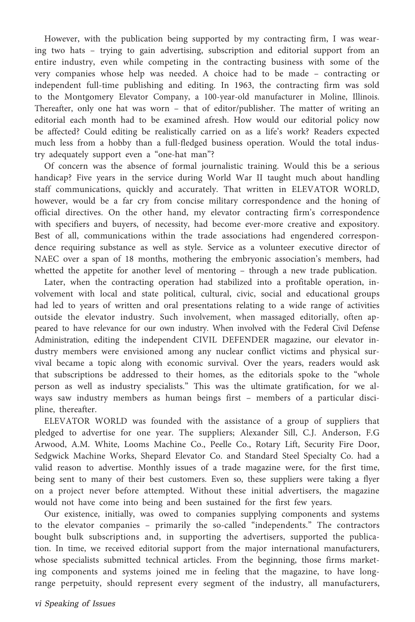However, with the publication being supported by my contracting firm, I was wearing two hats – trying to gain advertising, subscription and editorial support from an entire industry, even while competing in the contracting business with some of the very companies whose help was needed. A choice had to be made – contracting or independent full-time publishing and editing. In 1963, the contracting firm was sold to the Montgomery Elevator Company, a 100-year-old manufacturer in Moline, Illinois. Thereafter, only one hat was worn – that of editor/publisher. The matter of writing an editorial each month had to be examined afresh. How would our editorial policy now be affected? Could editing be realistically carried on as a life's work? Readers expected much less from a hobby than a full-fledged business operation. Would the total industry adequately support even a "one-hat man"?

Of concern was the absence of formal journalistic training. Would this be a serious handicap? Five years in the service during World War II taught much about handling staff communications, quickly and accurately. That written in ELEVATOR WORLD, however, would be a far cry from concise military correspondence and the honing of official directives. On the other hand, my elevator contracting firm's correspondence with specifiers and buyers, of necessity, had become ever-more creative and expository. Best of all, communications within the trade associations had engendered correspondence requiring substance as well as style. Service as a volunteer executive director of NAEC over a span of 18 months, mothering the embryonic association's members, had whetted the appetite for another level of mentoring – through a new trade publication.

Later, when the contracting operation had stabilized into a profitable operation, involvement with local and state political, cultural, civic, social and educational groups had led to years of written and oral presentations relating to a wide range of activities outside the elevator industry. Such involvement, when massaged editorially, often appeared to have relevance for our own industry. When involved with the Federal Civil Defense Administration, editing the independent CIVIL DEFENDER magazine, our elevator industry members were envisioned among any nuclear conflict victims and physical survival became a topic along with economic survival. Over the years, readers would ask that subscriptions be addressed to their homes, as the editorials spoke to the "whole person as well as industry specialists." This was the ultimate gratification, for we always saw industry members as human beings first – members of a particular discipline, thereafter.

ELEVATOR WORLD was founded with the assistance of a group of suppliers that pledged to advertise for one year. The suppliers; Alexander Sill, C.J. Anderson, F.G Arwood, A.M. White, Looms Machine Co., Peelle Co., Rotary Lift, Security Fire Door, Sedgwick Machine Works, Shepard Elevator Co. and Standard Steel Specialty Co. had a valid reason to advertise. Monthly issues of a trade magazine were, for the first time, being sent to many of their best customers. Even so, these suppliers were taking a flyer on a project never before attempted. Without these initial advertisers, the magazine would not have come into being and been sustained for the first few years.

Our existence, initially, was owed to companies supplying components and systems to the elevator companies – primarily the so-called "independents." The contractors bought bulk subscriptions and, in supporting the advertisers, supported the publication. In time, we received editorial support from the major international manufacturers, whose specialists submitted technical articles. From the beginning, those firms marketing components and systems joined me in feeling that the magazine, to have longrange perpetuity, should represent every segment of the industry, all manufacturers,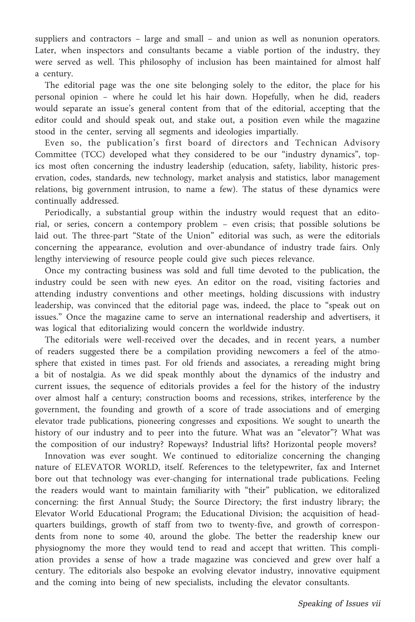suppliers and contractors – large and small – and union as well as nonunion operators. Later, when inspectors and consultants became a viable portion of the industry, they were served as well. This philosophy of inclusion has been maintained for almost half a century.

The editorial page was the one site belonging solely to the editor, the place for his personal opinion – where he could let his hair down. Hopefully, when he did, readers would separate an issue's general content from that of the editorial, accepting that the editor could and should speak out, and stake out, a position even while the magazine stood in the center, serving all segments and ideologies impartially.

Even so, the publication's first board of directors and Technican Advisory Committee (TCC) developed what they considered to be our "industry dynamics", topics most often concerning the industry leadership (education, safety, liability, historic preservation, codes, standards, new technology, market analysis and statistics, labor management relations, big government intrusion, to name a few). The status of these dynamics were continually addressed.

Periodically, a substantial group within the industry would request that an editorial, or series, concern a contempory problem – even crisis; that possible solutions be laid out. The three-part "State of the Union" editorial was such, as were the editorials concerning the appearance, evolution and over-abundance of industry trade fairs. Only lengthy interviewing of resource people could give such pieces relevance.

Once my contracting business was sold and full time devoted to the publication, the industry could be seen with new eyes. An editor on the road, visiting factories and attending industry conventions and other meetings, holding discussions with industry leadership, was convinced that the editorial page was, indeed, the place to "speak out on issues." Once the magazine came to serve an international readership and advertisers, it was logical that editorializing would concern the worldwide industry.

The editorials were well-received over the decades, and in recent years, a number of readers suggested there be a compilation providing newcomers a feel of the atmosphere that existed in times past. For old friends and associates, a rereading might bring a bit of nostalgia. As we did speak monthly about the dynamics of the industry and current issues, the sequence of editorials provides a feel for the history of the industry over almost half a century; construction booms and recessions, strikes, interference by the government, the founding and growth of a score of trade associations and of emerging elevator trade publications, pioneering congresses and expositions. We sought to unearth the history of our industry and to peer into the future. What was an "elevator"? What was the composition of our industry? Ropeways? Industrial lifts? Horizontal people movers?

Innovation was ever sought. We continued to editorialize concerning the changing nature of ELEVATOR WORLD, itself. References to the teletypewriter, fax and Internet bore out that technology was ever-changing for international trade publications. Feeling the readers would want to maintain familiarity with "their" publication, we editoralized concerning: the first Annual Study; the Source Directory; the first industry library; the Elevator World Educational Program; the Educational Division; the acquisition of headquarters buildings, growth of staff from two to twenty-five, and growth of correspondents from none to some 40, around the globe. The better the readership knew our physiognomy the more they would tend to read and accept that written. This compliation provides a sense of how a trade magazine was concieved and grew over half a century. The editorials also bespoke an evolving elevator industry, innovative equipment and the coming into being of new specialists, including the elevator consultants.